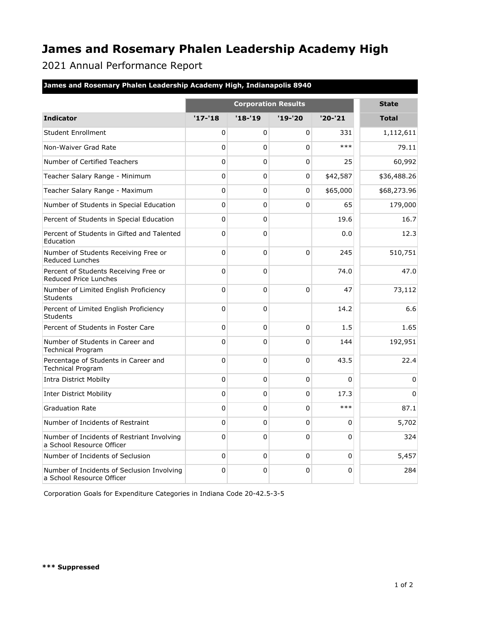## **James and Rosemary Phalen Leadership Academy High**

2021 Annual Performance Report

| James and Rosemary Phalen Leadership Academy High, Indianapolis 8940 |  |  |  |
|----------------------------------------------------------------------|--|--|--|
|                                                                      |  |  |  |
|                                                                      |  |  |  |
|                                                                      |  |  |  |

|                                                                         | <b>Corporation Results</b> |              |              |           | <b>State</b> |
|-------------------------------------------------------------------------|----------------------------|--------------|--------------|-----------|--------------|
| <b>Indicator</b>                                                        | $'17 - 18$                 | $'18 - 19$   | $'19-'20$    | $'20-'21$ | <b>Total</b> |
| <b>Student Enrollment</b>                                               | 0                          | 0            | $\Omega$     | 331       | 1,112,611    |
| Non-Waiver Grad Rate                                                    | 0                          | 0            | 0            | $***$     | 79.11        |
| Number of Certified Teachers                                            | 0                          | 0            | $\Omega$     | 25        | 60,992       |
| Teacher Salary Range - Minimum                                          | 0                          | $\Omega$     | $\Omega$     | \$42,587  | \$36,488.26  |
| Teacher Salary Range - Maximum                                          | 0                          | 0            | 0            | \$65,000  | \$68,273.96  |
| Number of Students in Special Education                                 | 0                          | $\mathbf 0$  | $\Omega$     | 65        | 179,000      |
| Percent of Students in Special Education                                | $\Omega$                   | $\Omega$     |              | 19.6      | 16.7         |
| Percent of Students in Gifted and Talented<br>Education                 | 0                          | $\Omega$     |              | 0.0       | 12.3         |
| Number of Students Receiving Free or<br><b>Reduced Lunches</b>          | 0                          | $\mathbf 0$  | $\Omega$     | 245       | 510,751      |
| Percent of Students Receiving Free or<br><b>Reduced Price Lunches</b>   | 0                          | 0            |              | 74.0      | 47.0         |
| Number of Limited English Proficiency<br><b>Students</b>                | 0                          | $\mathbf 0$  | $\Omega$     | 47        | 73,112       |
| Percent of Limited English Proficiency<br>Students                      | 0                          | $\mathbf 0$  |              | 14.2      | 6.6          |
| Percent of Students in Foster Care                                      | 0                          | $\mathbf 0$  | $\Omega$     | 1.5       | 1.65         |
| Number of Students in Career and<br><b>Technical Program</b>            | 0                          | $\mathbf 0$  | 0            | 144       | 192,951      |
| Percentage of Students in Career and<br><b>Technical Program</b>        | 0                          | $\mathbf 0$  | $\Omega$     | 43.5      | 22.4         |
| <b>Intra District Mobilty</b>                                           | 0                          | $\mathbf{0}$ | $\Omega$     | $\Omega$  | $\Omega$     |
| <b>Inter District Mobility</b>                                          | 0                          | 0            | $\Omega$     | 17.3      | $\mathbf{0}$ |
| <b>Graduation Rate</b>                                                  | 0                          | $\mathbf 0$  | $\mathbf{0}$ | $***$     | 87.1         |
| Number of Incidents of Restraint                                        | 0                          | 0            | $\Omega$     | 0         | 5,702        |
| Number of Incidents of Restriant Involving<br>a School Resource Officer | 0                          | $\mathbf 0$  | $\Omega$     | 0         | 324          |
| Number of Incidents of Seclusion                                        | 0                          | 0            | $\Omega$     | 0         | 5,457        |
| Number of Incidents of Seclusion Involving<br>a School Resource Officer | 0                          | $\mathbf 0$  | $\mathbf{0}$ | 0         | 284          |

Corporation Goals for Expenditure Categories in Indiana Code 20-42.5-3-5